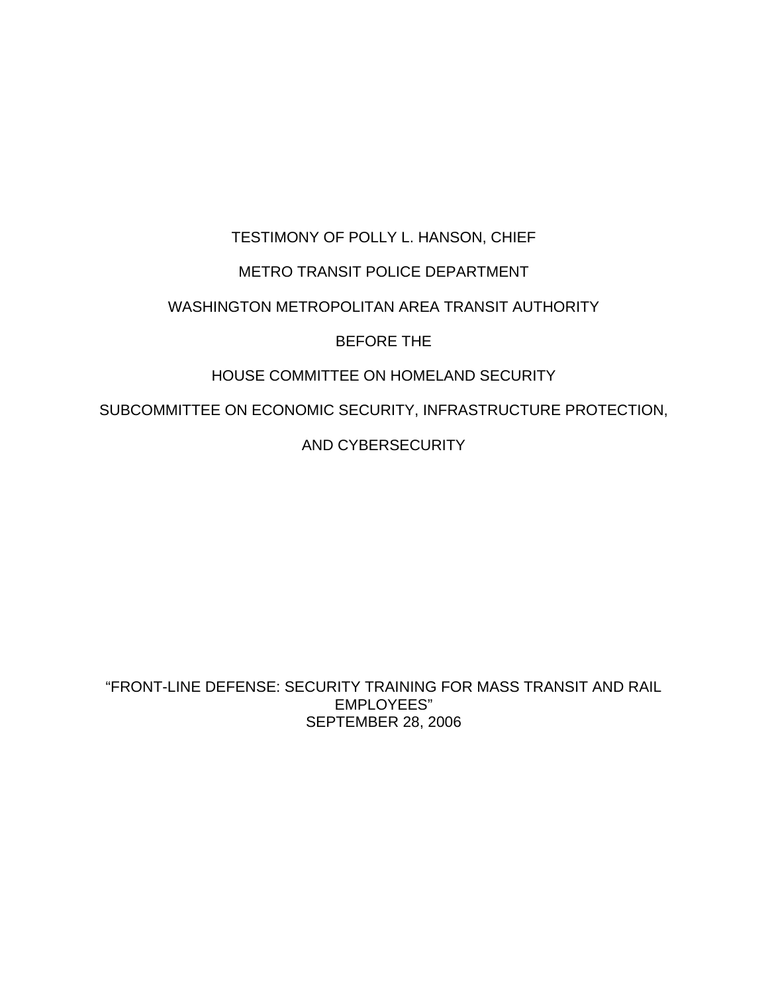# TESTIMONY OF POLLY L. HANSON, CHIEF METRO TRANSIT POLICE DEPARTMENT WASHINGTON METROPOLITAN AREA TRANSIT AUTHORITY

# BEFORE THE

# HOUSE COMMITTEE ON HOMELAND SECURITY

SUBCOMMITTEE ON ECONOMIC SECURITY, INFRASTRUCTURE PROTECTION,

AND CYBERSECURITY

"FRONT-LINE DEFENSE: SECURITY TRAINING FOR MASS TRANSIT AND RAIL EMPLOYEES" SEPTEMBER 28, 2006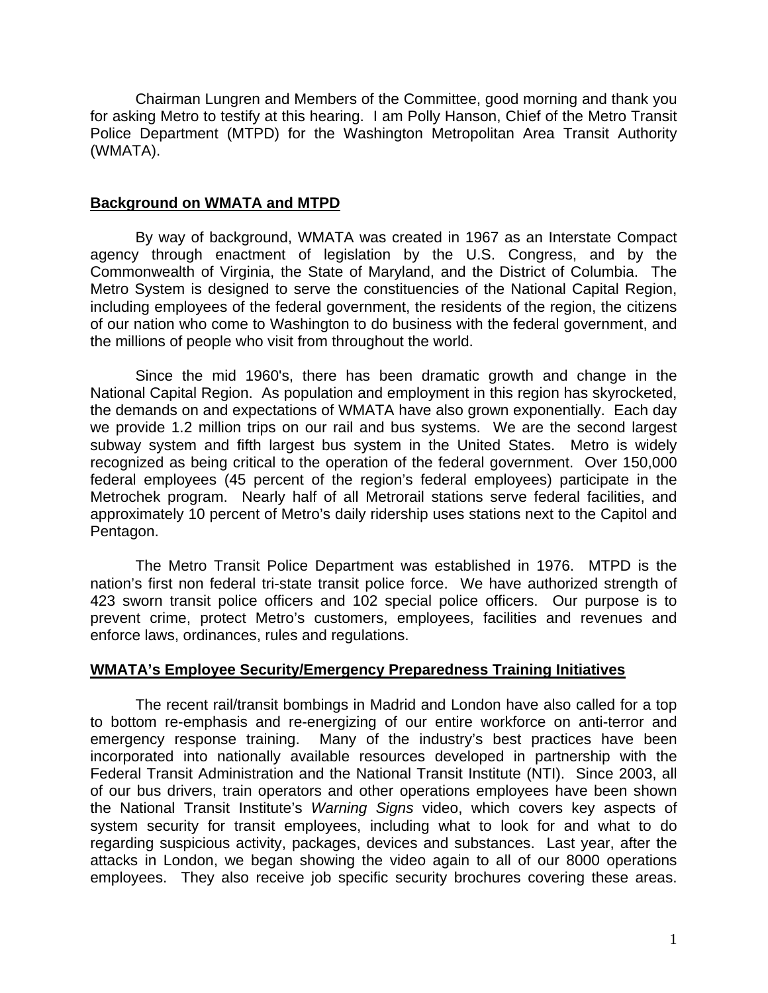Chairman Lungren and Members of the Committee, good morning and thank you for asking Metro to testify at this hearing. I am Polly Hanson, Chief of the Metro Transit Police Department (MTPD) for the Washington Metropolitan Area Transit Authority (WMATA).

### **Background on WMATA and MTPD**

By way of background, WMATA was created in 1967 as an Interstate Compact agency through enactment of legislation by the U.S. Congress, and by the Commonwealth of Virginia, the State of Maryland, and the District of Columbia. The Metro System is designed to serve the constituencies of the National Capital Region, including employees of the federal government, the residents of the region, the citizens of our nation who come to Washington to do business with the federal government, and the millions of people who visit from throughout the world.

Since the mid 1960's, there has been dramatic growth and change in the National Capital Region. As population and employment in this region has skyrocketed, the demands on and expectations of WMATA have also grown exponentially. Each day we provide 1.2 million trips on our rail and bus systems. We are the second largest subway system and fifth largest bus system in the United States. Metro is widely recognized as being critical to the operation of the federal government. Over 150,000 federal employees (45 percent of the region's federal employees) participate in the Metrochek program. Nearly half of all Metrorail stations serve federal facilities, and approximately 10 percent of Metro's daily ridership uses stations next to the Capitol and Pentagon.

The Metro Transit Police Department was established in 1976. MTPD is the nation's first non federal tri-state transit police force. We have authorized strength of 423 sworn transit police officers and 102 special police officers. Our purpose is to prevent crime, protect Metro's customers, employees, facilities and revenues and enforce laws, ordinances, rules and regulations.

#### **WMATA's Employee Security/Emergency Preparedness Training Initiatives**

The recent rail/transit bombings in Madrid and London have also called for a top to bottom re-emphasis and re-energizing of our entire workforce on anti-terror and emergency response training. Many of the industry's best practices have been incorporated into nationally available resources developed in partnership with the Federal Transit Administration and the National Transit Institute (NTI). Since 2003, all of our bus drivers, train operators and other operations employees have been shown the National Transit Institute's *Warning Signs* video, which covers key aspects of system security for transit employees, including what to look for and what to do regarding suspicious activity, packages, devices and substances. Last year, after the attacks in London, we began showing the video again to all of our 8000 operations employees. They also receive job specific security brochures covering these areas.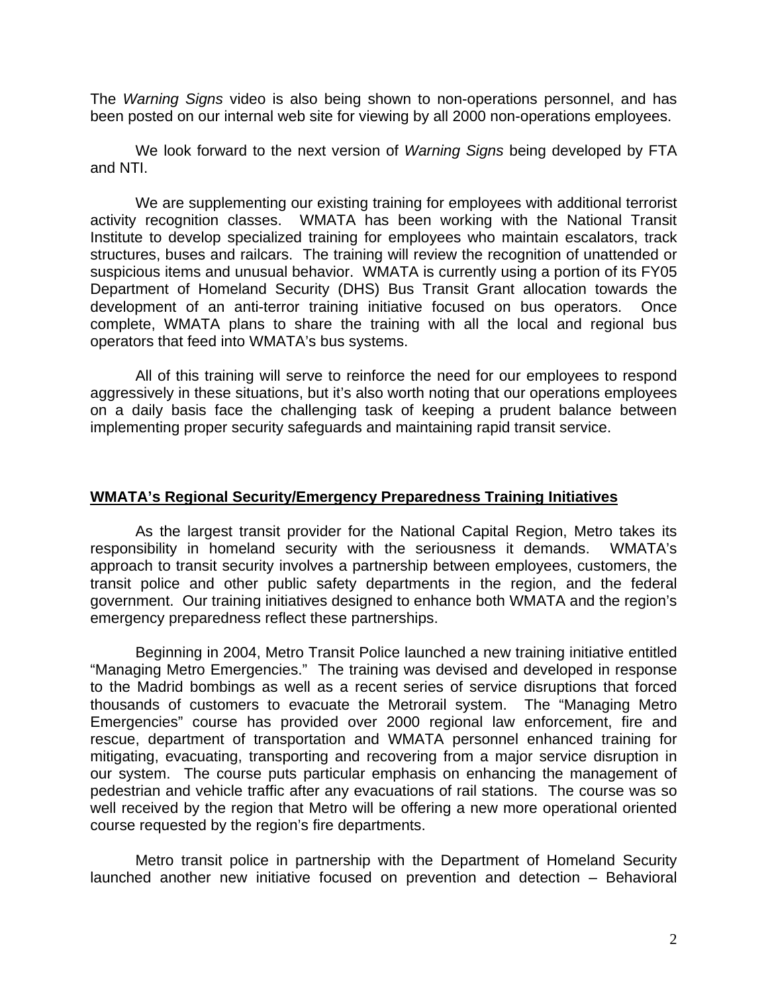The *Warning Signs* video is also being shown to non-operations personnel, and has been posted on our internal web site for viewing by all 2000 non-operations employees.

We look forward to the next version of *Warning Signs* being developed by FTA and NTI.

We are supplementing our existing training for employees with additional terrorist activity recognition classes. WMATA has been working with the National Transit Institute to develop specialized training for employees who maintain escalators, track structures, buses and railcars. The training will review the recognition of unattended or suspicious items and unusual behavior. WMATA is currently using a portion of its FY05 Department of Homeland Security (DHS) Bus Transit Grant allocation towards the development of an anti-terror training initiative focused on bus operators. Once complete, WMATA plans to share the training with all the local and regional bus operators that feed into WMATA's bus systems.

All of this training will serve to reinforce the need for our employees to respond aggressively in these situations, but it's also worth noting that our operations employees on a daily basis face the challenging task of keeping a prudent balance between implementing proper security safeguards and maintaining rapid transit service.

#### **WMATA's Regional Security/Emergency Preparedness Training Initiatives**

As the largest transit provider for the National Capital Region, Metro takes its responsibility in homeland security with the seriousness it demands. WMATA's approach to transit security involves a partnership between employees, customers, the transit police and other public safety departments in the region, and the federal government. Our training initiatives designed to enhance both WMATA and the region's emergency preparedness reflect these partnerships.

 Beginning in 2004, Metro Transit Police launched a new training initiative entitled "Managing Metro Emergencies." The training was devised and developed in response to the Madrid bombings as well as a recent series of service disruptions that forced thousands of customers to evacuate the Metrorail system. The "Managing Metro Emergencies" course has provided over 2000 regional law enforcement, fire and rescue, department of transportation and WMATA personnel enhanced training for mitigating, evacuating, transporting and recovering from a major service disruption in our system. The course puts particular emphasis on enhancing the management of pedestrian and vehicle traffic after any evacuations of rail stations. The course was so well received by the region that Metro will be offering a new more operational oriented course requested by the region's fire departments.

 Metro transit police in partnership with the Department of Homeland Security launched another new initiative focused on prevention and detection – Behavioral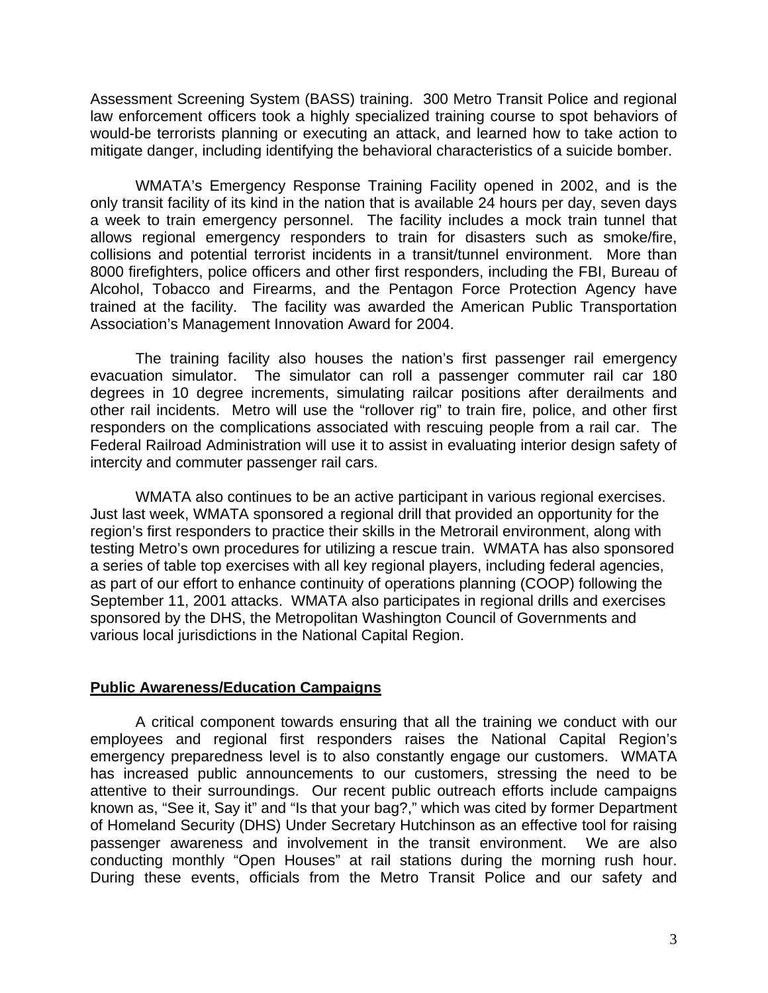Assessment Screening System (BASS) training. 300 Metro Transit Police and regional law enforcement officers took a highly specialized training course to spot behaviors of would-be terrorists planning or executing an attack, and learned how to take action to mitigate danger, including identifying the behavioral characteristics of a suicide bomber.

WMATA's Emergency Response Training Facility opened in 2002, and is the only transit facility of its kind in the nation that is available 24 hours per day, seven days a week to train emergency personnel. The facility includes a mock train tunnel that allows regional emergency responders to train for disasters such as smoke/fire, collisions and potential terrorist incidents in a transit/tunnel environment. More than 8000 firefighters, police officers and other first responders, including the FBI, Bureau of Alcohol, Tobacco and Firearms, and the Pentagon Force Protection Agency have trained at the facility. The facility was awarded the American Public Transportation Association's Management Innovation Award for 2004.

The training facility also houses the nation's first passenger rail emergency evacuation simulator. The simulator can roll a passenger commuter rail car 180 degrees in 10 degree increments, simulating railcar positions after derailments and other rail incidents. Metro will use the "rollover rig" to train fire, police, and other first responders on the complications associated with rescuing people from a rail car. The Federal Railroad Administration will use it to assist in evaluating interior design safety of intercity and commuter passenger rail cars.

 WMATA also continues to be an active participant in various regional exercises. Just last week, WMATA sponsored a regional drill that provided an opportunity for the region's first responders to practice their skills in the Metrorail environment, along with testing Metro's own procedures for utilizing a rescue train. WMATA has also sponsored a series of table top exercises with all key regional players, including federal agencies, as part of our effort to enhance continuity of operations planning (COOP) following the September 11, 2001 attacks. WMATA also participates in regional drills and exercises sponsored by the DHS, the Metropolitan Washington Council of Governments and various local jurisdictions in the National Capital Region.

## **Public Awareness/Education Campaigns**

A critical component towards ensuring that all the training we conduct with our employees and regional first responders raises the National Capital Region's emergency preparedness level is to also constantly engage our customers. WMATA has increased public announcements to our customers, stressing the need to be attentive to their surroundings. Our recent public outreach efforts include campaigns known as, "See it, Say it" and "Is that your bag?," which was cited by former Department of Homeland Security (DHS) Under Secretary Hutchinson as an effective tool for raising passenger awareness and involvement in the transit environment. We are also conducting monthly "Open Houses" at rail stations during the morning rush hour. During these events, officials from the Metro Transit Police and our safety and